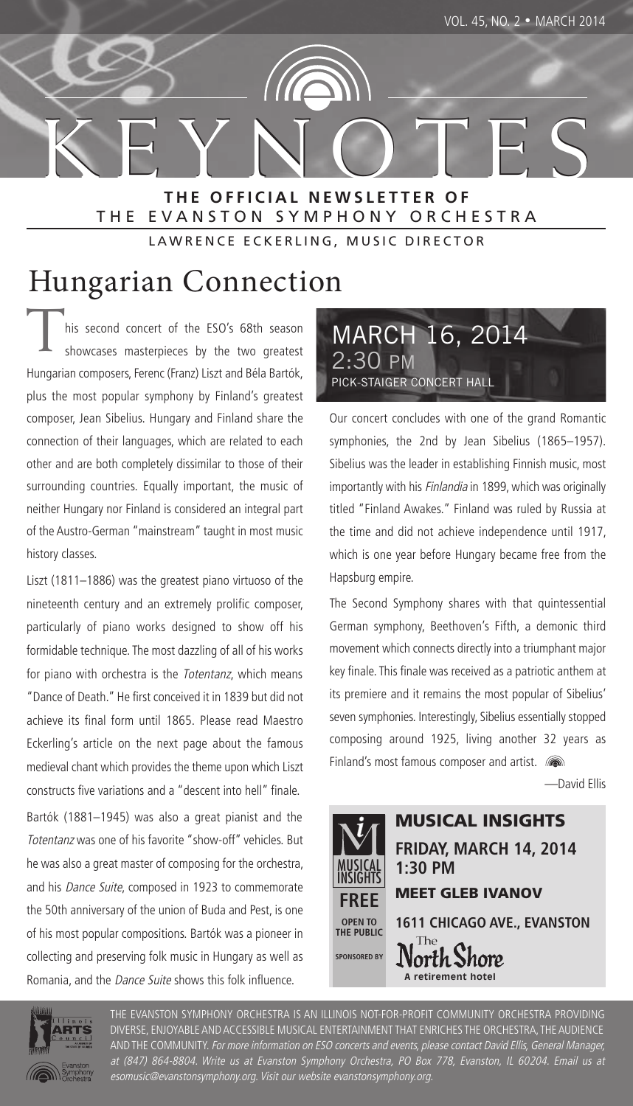KEYNOTES **THE OFFICIAL NEWSLETTER OF** THE EVANSTON SYMPHONY ORCHESTRA

LAWRENCE ECKERLING, MUSIC DIRECTOR

This second concert of the ESO's 68th season<br>showcases masterpieces by the two greatest showcases masterpieces by the two greatest Hungarian composers, Ferenc (Franz) Liszt and Béla Bartók, plus the most popular symphony by Finland's greatest composer, Jean Sibelius. Hungary and Finland share the connection of their languages, which are related to each other and are both completely dissimilar to those of their surrounding countries. Equally important, the music of neither Hungary nor Finland is considered an integral part of the Austro-German "mainstream" taught in most music history classes.  $\Gamma$  connection  $\Gamma$ 

Liszt (1811–1886) was the greatest piano virtuoso of the nineteenth century and an extremely prolific composer, particularly of piano works designed to show off his formidable technique. The most dazzling of all of his works for piano with orchestra is the Totentanz, which means "Dance of Death." He first conceived it in 1839 but did not achieve its final form until 1865. Please read Maestro Eckerling's article on the next page about the famous medieval chant which provides the theme upon which Liszt constructs five variations and a "descent into hell" finale.

Bartók (1881–1945) was also a great pianist and the Totentanz was one of his favorite "show-off" vehicles. But he was also a great master of composing for the orchestra, and his Dance Suite, composed in 1923 to commemorate the 50th anniversary of the union of Buda and Pest, is one of his most popular compositions. Bartók was a pioneer in collecting and preserving folk music in Hungary as well as Romania, and the Dance Suite shows this folk influence.



Our concert concludes with one of the grand Romantic symphonies, the 2nd by Jean Sibelius (1865–1957). Sibelius was the leader in establishing Finnish music, most importantly with his Finlandia in 1899, which was originally titled "Finland Awakes." Finland was ruled by Russia at the time and did not achieve independence until 1917, which is one year before Hungary became free from the Hapsburg empire.

The Second Symphony shares with that quintessential German symphony, Beethoven's Fifth, a demonic third movement which connects directly into a triumphant major key finale. This finale was received as a patriotic anthem at its premiere and it remains the most popular of Sibelius' seven symphonies. Interestingly, Sibelius essentially stopped composing around 1925, living another 32 years as Finland's most famous composer and artist.  $\blacksquare$ 

—David Ellis





THE EVANSTON SYMPHONY ORCHESTRA IS AN ILLINOIS NOT-FOR-PROFIT COMMUNITY ORCHESTRA PROVIDING DIVERSE, ENJOYABLE AND ACCESSIBLE MUSICAL ENTERTAINMENT THAT ENRICHES THE ORCHESTRA, THE AUDIENCE AND THE COMMUNITY. For more information on ESO concerts and events, please contact David Ellis, General Manager, at (847) 864-8804. Write us at Evanston Symphony Orchestra, PO Box 778, Evanston, IL 60204. Email us at esomusic@evanstonsymphony.org. Visit our website evanstonsymphony.org.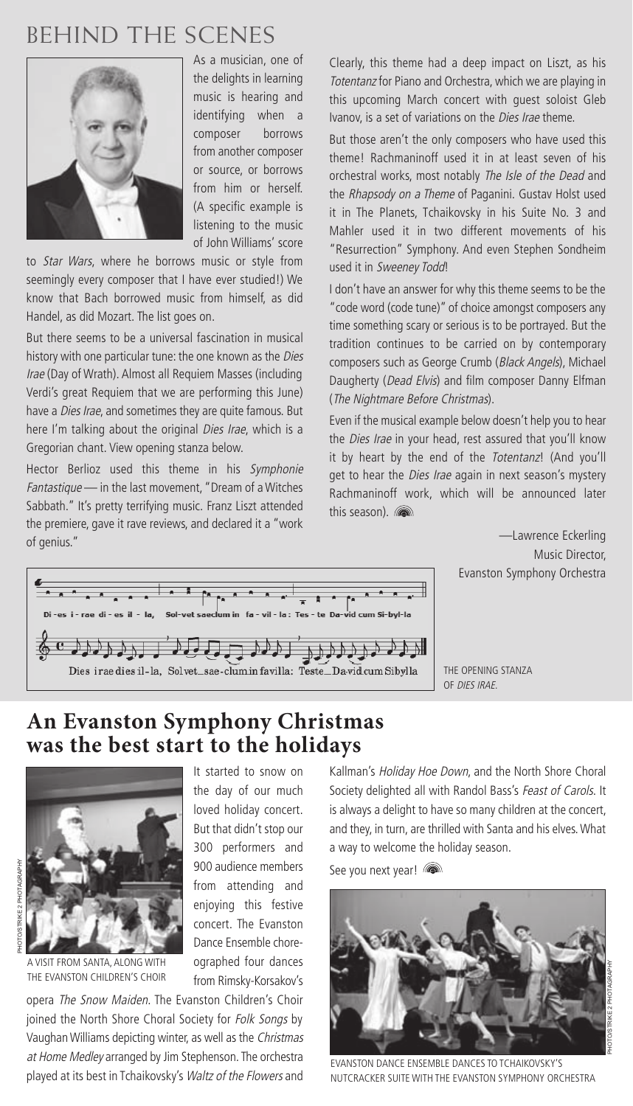# BEHIND THE SCENES



As a musician, one of the delights in learning music is hearing and identifying when a composer borrows from another composer or source, or borrows from him or herself. (A specific example is listening to the music of John Williams' score

to Star Wars, where he borrows music or style from seemingly every composer that I have ever studied!) We know that Bach borrowed music from himself, as did Handel, as did Mozart. The list goes on.

But there seems to be a universal fascination in musical history with one particular tune: the one known as the Dies Irae (Day of Wrath). Almost all Requiem Masses (including Verdi's great Requiem that we are performing this June) have a *Dies Irae*, and sometimes they are quite famous. But here I'm talking about the original Dies Irae, which is a Gregorian chant. View opening stanza below.

Hector Berlioz used this theme in his Symphonie Fantastique - in the last movement, "Dream of a Witches Sabbath." It's pretty terrifying music. Franz Liszt attended the premiere, gave it rave reviews, and declared it a "work of genius."

Clearly, this theme had a deep impact on Liszt, as his Totentanz for Piano and Orchestra, which we are playing in this upcoming March concert with guest soloist Gleb Ivanov, is a set of variations on the *Dies Irae* theme.

But those aren't the only composers who have used this theme! Rachmaninoff used it in at least seven of his orchestral works, most notably The Isle of the Dead and the Rhapsody on a Theme of Paganini. Gustav Holst used it in The Planets, Tchaikovsky in his Suite No. 3 and Mahler used it in two different movements of his "Resurrection" Symphony. And even Stephen Sondheim used it in Sweeney Todd!

I don't have an answer for why this theme seems to be the "code word (code tune)" of choice amongst composers any time something scary or serious is to be portrayed. But the tradition continues to be carried on by contemporary composers such as George Crumb (Black Angels), Michael Daugherty (Dead Elvis) and film composer Danny Elfman (The Nightmare Before Christmas).

Even if the musical example below doesn't help you to hear the *Dies Irae* in your head, rest assured that you'll know it by heart by the end of the Totentanz! (And you'll get to hear the *Dies Irae* again in next season's mystery Rachmaninoff work, which will be announced later this season). and

> —Lawrence Eckerling Music Director, Evanston Symphony Orchestra



THE OPENING STANZA OF DIES IRAE.

### **An Evanston Symphony Christmas was the best start to the holidays**



It started to snow on the day of our much loved holiday concert. But that didn't stop our 300 performers and 900 audience members from attending and enjoying this festive concert. The Evanston Dance Ensemble choreographed four dances from Rimsky-Korsakov's

opera The Snow Maiden. The Evanston Children's Choir joined the North Shore Choral Society for Folk Songs by Vaughan Williams depicting winter, as well as the Christmas at Home Medley arranged by Jim Stephenson. The orchestra played at its best in Tchaikovsky's Waltz of the Flowers and

Kallman's Holiday Hoe Down, and the North Shore Choral Society delighted all with Randol Bass's Feast of Carols. It is always a delight to have so many children at the concert, and they, in turn, are thrilled with Santa and his elves. What a way to welcome the holiday season.

See you next year!



EVANSTON DANCE ENSEMBLE DANCES TO TCHAIKOVSKY'S NUTCRACKER SUITE WITH THE EVANSTON SYMPHONY ORCHESTRA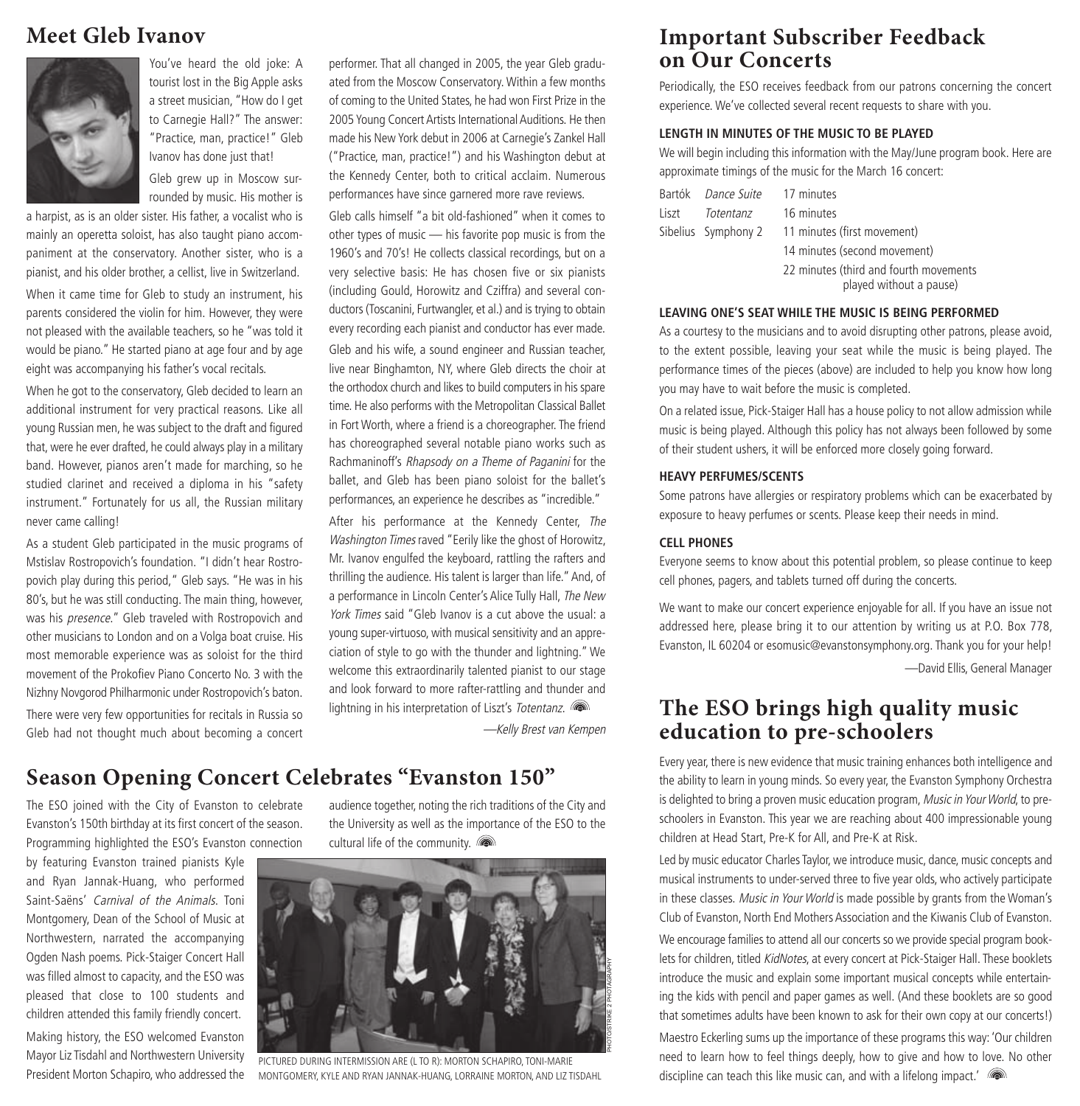### **Meet Gleb Ivanov**



You've heard the old joke: A tourist lost in the Big Apple asks a street musician, "How do I get to Carnegie Hall?" The answer: "Practice, man, practice!" Gleb Ivanov has done just that!

Gleb grew up in Moscow surrounded by music. His mother is

a harpist, as is an older sister. His father, a vocalist who is mainly an operetta soloist, has also taught piano accompaniment at the conservatory. Another sister, who is a pianist, and his older brother, a cellist, live in Switzerland.

When it came time for Gleb to study an instrument, his parents considered the violin for him. However, they were not pleased with the available teachers, so he "was told it would be piano." He started piano at age four and by age eight was accompanying his father's vocal recitals.

When he got to the conservatory, Gleb decided to learn an additional instrument for very practical reasons. Like all young Russian men, he was subject to the draft and figured that, were he ever drafted, he could always play in a military band. However, pianos aren't made for marching, so he studied clarinet and received a diploma in his "safety instrument." Fortunately for us all, the Russian military never came calling!

As a student Gleb participated in the music programs of Mstislav Rostropovich's foundation. "I didn't hear Rostropovich play during this period," Gleb says. "He was in his 80's, but he was still conducting. The main thing, however, was his presence." Gleb traveled with Rostropovich and other musicians to London and on a Volga boat cruise. His most memorable experience was as soloist for the third movement of the Prokofiev Piano Concerto No. 3 with the Nizhny Novgorod Philharmonic under Rostropovich's baton. There were very few opportunities for recitals in Russia so Gleb had not thought much about becoming a concert

 performer. That all changed in 2005, the year Gleb graduated from the Moscow Conservatory. Within a few months of coming to the United States, he had won First Prize in the 2005 Young Concert Artists International Auditions. He then made his New York debut in 2006 at Carnegie's Zankel Hall ("Practice, man, practice!") and his Washington debut at the Kennedy Center, both to critical acclaim. Numerous performances have since garnered more rave reviews.

Gleb calls himself "a bit old-fashioned" when it comes to other types of music — his favorite pop music is from the 1960's and 70's! He collects classical recordings, but on a very selective basis: He has chosen five or six pianists (including Gould, Horowitz and Cziffra) and several conductors (Toscanini, Furtwangler, et al.) and is trying to obtain every recording each pianist and conductor has ever made. Gleb and his wife, a sound engineer and Russian teacher, live near Binghamton, NY, where Gleb directs the choir at the orthodox church and likes to build computers in his spare time. He also performs with the Metropolitan Classical Ballet in Fort Worth, where a friend is a choreographer. The friend has choreographed several notable piano works such as Rachmaninoff's Rhapsody on a Theme of Paganini for the ballet, and Gleb has been piano soloist for the ballet's performances, an experience he describes as "incredible."

After his performance at the Kennedy Center, The Washington Times raved "Eerily like the ghost of Horowitz, Mr. Ivanov engulfed the keyboard, rattling the rafters and thrilling the audience. His talent is larger than life." And, of a performance in Lincoln Center's Alice Tully Hall, The New York Times said "Gleb Ivanov is a cut above the usual: a young super-virtuoso, with musical sensitivity and an appreciation of style to go with the thunder and lightning." We welcome this extraordinarily talented pianist to our stage and look forward to more rafter-rattling and thunder and lightning in his interpretation of Liszt's Totentanz.

—Kelly Brest van Kempen

PHOTO/STRIKE 2 PHOTAGRAPHY

## **Season Opening Concert Celebrates "Evanston 150"**

The ESO joined with the City of Evanston to celebrate Evanston's 150th birthday at its first concert of the season. Programming highlighted the ESO's Evanston connection

by featuring Evanston trained pianists Kyle and Ryan Jannak-Huang, who performed Saint-Saëns' Carnival of the Animals. Toni Montgomery, Dean of the School of Music at Northwestern, narrated the accompanying Ogden Nash poems. Pick-Staiger Concert Hall was filled almost to capacity, and the ESO was pleased that close to 100 students and children attended this family friendly concert. Making history, the ESO welcomed Evanston Mayor Liz Tisdahl and Northwestern University President Morton Schapiro, who addressed the

audience together, noting the rich traditions of the City and the University as well as the importance of the ESO to the cultural life of the community.



PICTURED DURING INTERMISSION ARE (L TO R): MORTON SCHAPIRO, TONI-MARIE MONTGOMERY, KYLE AND RYAN JANNAK-HUANG, LORRAINE MORTON, AND LIZ TISDAHL

### **Important Subscriber Feedback on Our Concerts**

Periodically, the ESO receives feedback from our patrons concerning the concert experience. We've collected several recent requests to share with you.

### **LENGTH IN MINUTES OF THE MUSIC TO BE PLAYED**

We will begin including this information with the May/June program book. Here are approximate timings of the music for the March 16 concert:

| 16 minutes<br>Liszt<br>Totentanz<br>Sibelius Symphony 2 11 minutes (first movement)<br>14 minutes (second movement)<br>played without a pause) | Bartók <i>Dance Suite</i> 17 minutes |                                        |  |  |
|------------------------------------------------------------------------------------------------------------------------------------------------|--------------------------------------|----------------------------------------|--|--|
|                                                                                                                                                |                                      |                                        |  |  |
|                                                                                                                                                |                                      |                                        |  |  |
|                                                                                                                                                |                                      |                                        |  |  |
|                                                                                                                                                |                                      | 22 minutes (third and fourth movements |  |  |

#### **LEAVING ONE'S SEAT WHILE THE MUSIC IS BEING PERFORMED**

As a courtesy to the musicians and to avoid disrupting other patrons, please avoid, to the extent possible, leaving your seat while the music is being played. The performance times of the pieces (above) are included to help you know how long you may have to wait before the music is completed.

On a related issue, Pick-Staiger Hall has a house policy to not allow admission while music is being played. Although this policy has not always been followed by some of their student ushers, it will be enforced more closely going forward.

#### **HEAVY PERFUMES/SCENTS**

Some patrons have allergies or respiratory problems which can be exacerbated by exposure to heavy perfumes or scents. Please keep their needs in mind.

#### **CELL PHONES**

Everyone seems to know about this potential problem, so please continue to keep cell phones, pagers, and tablets turned off during the concerts.

We want to make our concert experience enjoyable for all. If you have an issue not addressed here, please bring it to our attention by writing us at P.O. Box 778, Evanston, IL 60204 or esomusic@evanstonsymphony.org. Thank you for your help! —David Ellis, General Manager

### **The ESO brings high quality music education to pre-schoolers**

Every year, there is new evidence that music training enhances both intelligence and the ability to learn in young minds. So every year, the Evanston Symphony Orchestra is delighted to bring a proven music education program, Music in Your World, to preschoolers in Evanston. This year we are reaching about 400 impressionable young children at Head Start, Pre-K for All, and Pre-K at Risk.

Led by music educator Charles Taylor, we introduce music, dance, music concepts and musical instruments to under-served three to five year olds, who actively participate in these classes. Music in Your World is made possible by grants from the Woman's Club of Evanston, North End Mothers Association and the Kiwanis Club of Evanston. We encourage families to attend all our concerts so we provide special program booklets for children, titled KidNotes, at every concert at Pick-Staiger Hall. These booklets introduce the music and explain some important musical concepts while entertaining the kids with pencil and paper games as well. (And these booklets are so good that sometimes adults have been known to ask for their own copy at our concerts!) Maestro Eckerling sums up the importance of these programs this way: 'Our children need to learn how to feel things deeply, how to give and how to love. No other discipline can teach this like music can, and with a lifelong impact.' ( $\blacksquare$ )